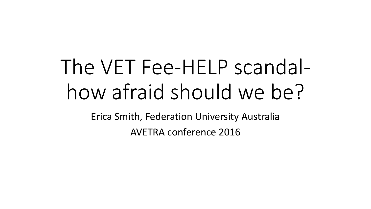# The VET Fee-HELP scandalhow afraid should we be?

Erica Smith, Federation University Australia AVETRA conference 2016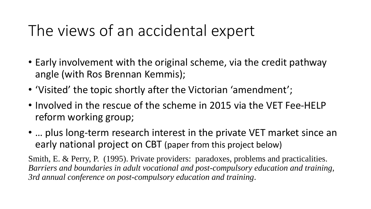#### The views of an accidental expert

- Early involvement with the original scheme, via the credit pathway angle (with Ros Brennan Kemmis);
- 'Visited' the topic shortly after the Victorian 'amendment';
- Involved in the rescue of the scheme in 2015 via the VET Fee-HELP reform working group;
- … plus long-term research interest in the private VET market since an early national project on CBT (paper from this project below)

Smith, E. & Perry, P. (1995). Private providers: paradoxes, problems and practicalities. *Barriers and boundaries in adult vocational and post-compulsory education and training, 3rd annual conference on post-compulsory education and training*.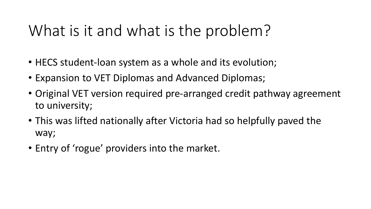#### What is it and what is the problem?

- HECS student-loan system as a whole and its evolution;
- Expansion to VET Diplomas and Advanced Diplomas;
- Original VET version required pre-arranged credit pathway agreement to university;
- This was lifted nationally after Victoria had so helpfully paved the way;
- Entry of 'rogue' providers into the market.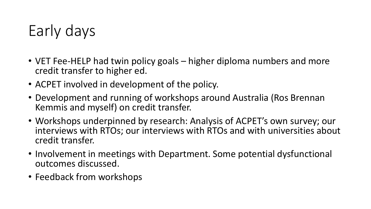### Early days

- VET Fee-HELP had twin policy goals higher diploma numbers and more credit transfer to higher ed.
- ACPET involved in development of the policy.
- Development and running of workshops around Australia (Ros Brennan Kemmis and myself) on credit transfer.
- Workshops underpinned by research: Analysis of ACPET's own survey; our interviews with RTOs; our interviews with RTOs and with universities about credit transfer.
- Involvement in meetings with Department. Some potential dysfunctional outcomes discussed.
- Feedback from workshops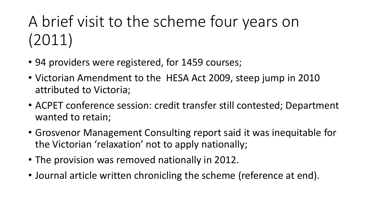## A brief visit to the scheme four years on (2011)

- 94 providers were registered, for 1459 courses;
- Victorian Amendment to the HESA Act 2009, steep jump in 2010 attributed to Victoria;
- ACPET conference session: credit transfer still contested; Department wanted to retain;
- Grosvenor Management Consulting report said it was inequitable for the Victorian 'relaxation' not to apply nationally;
- The provision was removed nationally in 2012.
- Journal article written chronicling the scheme (reference at end).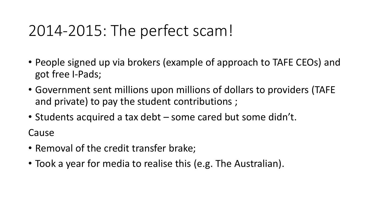#### 2014-2015: The perfect scam!

- People signed up via brokers (example of approach to TAFE CEOs) and got free I-Pads;
- Government sent millions upon millions of dollars to providers (TAFE and private) to pay the student contributions ;
- Students acquired a tax debt some cared but some didn't.

Cause

- Removal of the credit transfer brake;
- Took a year for media to realise this (e.g. The Australian).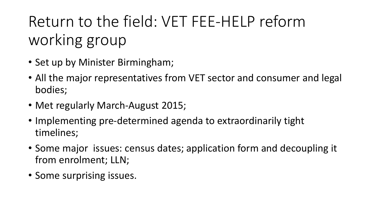Return to the field: VET FEE-HELP reform working group

- Set up by Minister Birmingham;
- All the major representatives from VET sector and consumer and legal bodies;
- Met regularly March-August 2015;
- Implementing pre-determined agenda to extraordinarily tight timelines;
- Some major issues: census dates; application form and decoupling it from enrolment; LLN;
- Some surprising issues.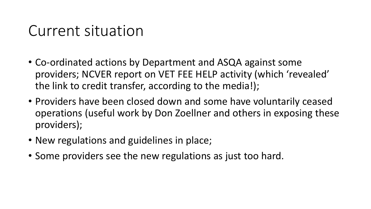#### Current situation

- Co-ordinated actions by Department and ASQA against some providers; NCVER report on VET FEE HELP activity (which 'revealed' the link to credit transfer, according to the media!);
- Providers have been closed down and some have voluntarily ceased operations (useful work by Don Zoellner and others in exposing these providers);
- New regulations and guidelines in place;
- Some providers see the new regulations as just too hard.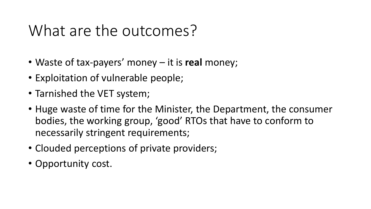#### What are the outcomes?

- Waste of tax-payers' money it is **real** money;
- Exploitation of vulnerable people;
- Tarnished the VET system;
- Huge waste of time for the Minister, the Department, the consumer bodies, the working group, 'good' RTOs that have to conform to necessarily stringent requirements;
- Clouded perceptions of private providers;
- Opportunity cost.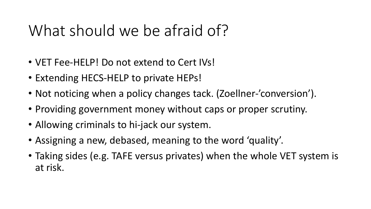#### What should we be afraid of?

- VET Fee-HELP! Do not extend to Cert IVs!
- Extending HECS-HELP to private HEPs!
- Not noticing when a policy changes tack. (Zoellner-'conversion').
- Providing government money without caps or proper scrutiny.
- Allowing criminals to hi-jack our system.
- Assigning a new, debased, meaning to the word 'quality'.
- Taking sides (e.g. TAFE versus privates) when the whole VET system is at risk.